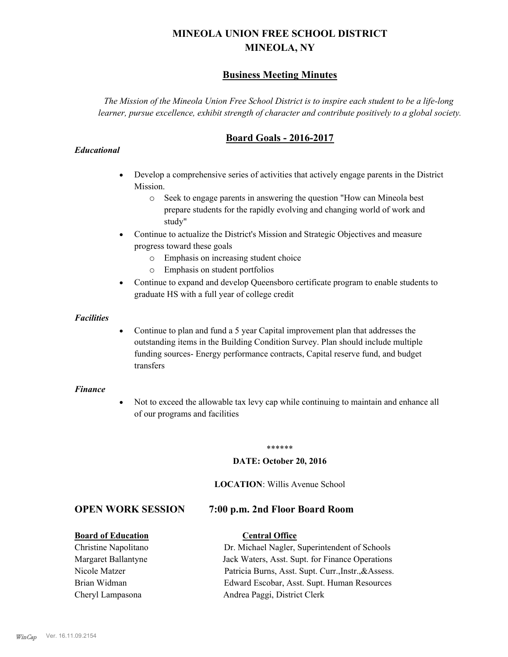# **MINEOLA UNION FREE SCHOOL DISTRICT MINEOLA, NY**

# **Business Meeting Minutes**

*The Mission of the Mineola Union Free School District is to inspire each student to be a life-long learner, pursue excellence, exhibit strength of character and contribute positively to a global society.*

# **Board Goals - 2016-2017**

#### *Educational*

- · Develop a comprehensive series of activities that actively engage parents in the District Mission.
	- o Seek to engage parents in answering the question "How can Mineola best prepare students for the rapidly evolving and changing world of work and study"
- · Continue to actualize the District's Mission and Strategic Objectives and measure progress toward these goals
	- o Emphasis on increasing student choice
	- o Emphasis on student portfolios
- · Continue to expand and develop Queensboro certificate program to enable students to graduate HS with a full year of college credit

#### *Facilities*

· Continue to plan and fund a 5 year Capital improvement plan that addresses the outstanding items in the Building Condition Survey. Plan should include multiple funding sources- Energy performance contracts, Capital reserve fund, and budget transfers

#### *Finance*

• Not to exceed the allowable tax levy cap while continuing to maintain and enhance all of our programs and facilities

#### \*\*\*\*\*\*

#### **DATE: October 20, 2016**

#### **LOCATION**: Willis Avenue School

# **OPEN WORK SESSION 7:00 p.m. 2nd Floor Board Room**

#### **Board of Education Central Office**

Christine Napolitano Dr. Michael Nagler, Superintendent of Schools Margaret Ballantyne Jack Waters, Asst. Supt. for Finance Operations Nicole Matzer Patricia Burns, Asst. Supt. Curr.,Instr.,&Assess. Brian Widman Edward Escobar, Asst. Supt. Human Resources Cheryl Lampasona Andrea Paggi, District Clerk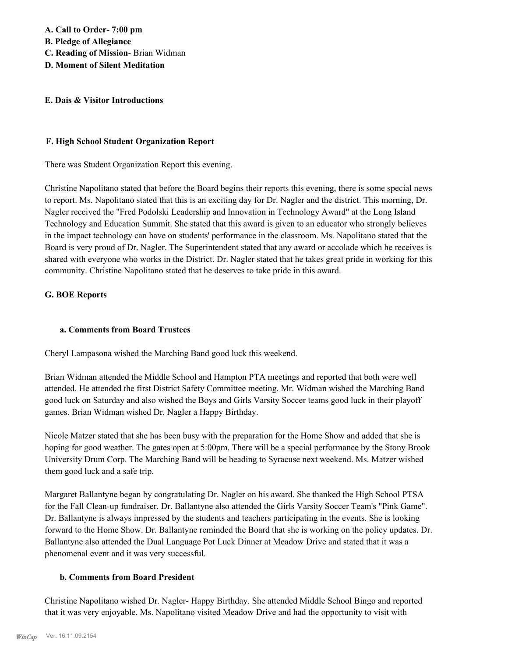#### **E. Dais & Visitor Introductions**

#### **F. High School Student Organization Report**

There was Student Organization Report this evening.

Christine Napolitano stated that before the Board begins their reports this evening, there is some special news to report. Ms. Napolitano stated that this is an exciting day for Dr. Nagler and the district. This morning, Dr. Nagler received the "Fred Podolski Leadership and Innovation in Technology Award" at the Long Island Technology and Education Summit. She stated that this award is given to an educator who strongly believes in the impact technology can have on students' performance in the classroom. Ms. Napolitano stated that the Board is very proud of Dr. Nagler. The Superintendent stated that any award or accolade which he receives is shared with everyone who works in the District. Dr. Nagler stated that he takes great pride in working for this community. Christine Napolitano stated that he deserves to take pride in this award.

### **G. BOE Reports**

### **a. Comments from Board Trustees**

Cheryl Lampasona wished the Marching Band good luck this weekend.

Brian Widman attended the Middle School and Hampton PTA meetings and reported that both were well attended. He attended the first District Safety Committee meeting. Mr. Widman wished the Marching Band good luck on Saturday and also wished the Boys and Girls Varsity Soccer teams good luck in their playoff games. Brian Widman wished Dr. Nagler a Happy Birthday.

Nicole Matzer stated that she has been busy with the preparation for the Home Show and added that she is hoping for good weather. The gates open at 5:00pm. There will be a special performance by the Stony Brook University Drum Corp. The Marching Band will be heading to Syracuse next weekend. Ms. Matzer wished them good luck and a safe trip.

Margaret Ballantyne began by congratulating Dr. Nagler on his award. She thanked the High School PTSA for the Fall Clean-up fundraiser. Dr. Ballantyne also attended the Girls Varsity Soccer Team's "Pink Game". Dr. Ballantyne is always impressed by the students and teachers participating in the events. She is looking forward to the Home Show. Dr. Ballantyne reminded the Board that she is working on the policy updates. Dr. Ballantyne also attended the Dual Language Pot Luck Dinner at Meadow Drive and stated that it was a phenomenal event and it was very successful.

### **b. Comments from Board President**

Christine Napolitano wished Dr. Nagler- Happy Birthday. She attended Middle School Bingo and reported that it was very enjoyable. Ms. Napolitano visited Meadow Drive and had the opportunity to visit with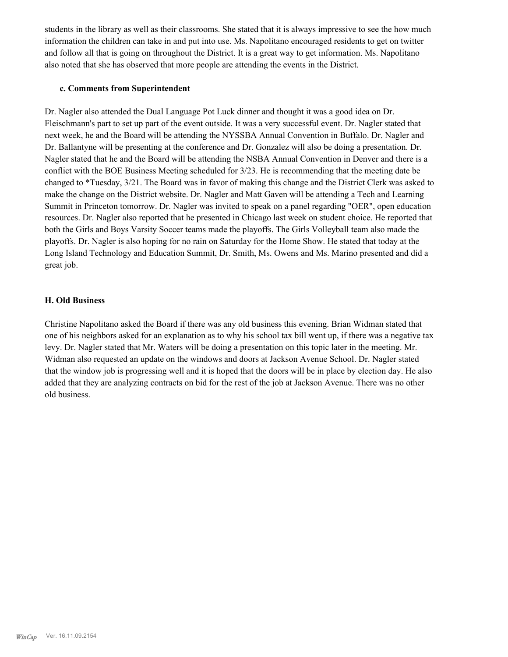students in the library as well as their classrooms. She stated that it is always impressive to see the how much information the children can take in and put into use. Ms. Napolitano encouraged residents to get on twitter and follow all that is going on throughout the District. It is a great way to get information. Ms. Napolitano also noted that she has observed that more people are attending the events in the District.

#### **c. Comments from Superintendent**

Dr. Nagler also attended the Dual Language Pot Luck dinner and thought it was a good idea on Dr. Fleischmann's part to set up part of the event outside. It was a very successful event. Dr. Nagler stated that next week, he and the Board will be attending the NYSSBA Annual Convention in Buffalo. Dr. Nagler and Dr. Ballantyne will be presenting at the conference and Dr. Gonzalez will also be doing a presentation. Dr. Nagler stated that he and the Board will be attending the NSBA Annual Convention in Denver and there is a conflict with the BOE Business Meeting scheduled for 3/23. He is recommending that the meeting date be changed to \*Tuesday, 3/21. The Board was in favor of making this change and the District Clerk was asked to make the change on the District website. Dr. Nagler and Matt Gaven will be attending a Tech and Learning Summit in Princeton tomorrow. Dr. Nagler was invited to speak on a panel regarding "OER", open education resources. Dr. Nagler also reported that he presented in Chicago last week on student choice. He reported that both the Girls and Boys Varsity Soccer teams made the playoffs. The Girls Volleyball team also made the playoffs. Dr. Nagler is also hoping for no rain on Saturday for the Home Show. He stated that today at the Long Island Technology and Education Summit, Dr. Smith, Ms. Owens and Ms. Marino presented and did a great job.

## **H. Old Business**

Christine Napolitano asked the Board if there was any old business this evening. Brian Widman stated that one of his neighbors asked for an explanation as to why his school tax bill went up, if there was a negative tax levy. Dr. Nagler stated that Mr. Waters will be doing a presentation on this topic later in the meeting. Mr. Widman also requested an update on the windows and doors at Jackson Avenue School. Dr. Nagler stated that the window job is progressing well and it is hoped that the doors will be in place by election day. He also added that they are analyzing contracts on bid for the rest of the job at Jackson Avenue. There was no other old business.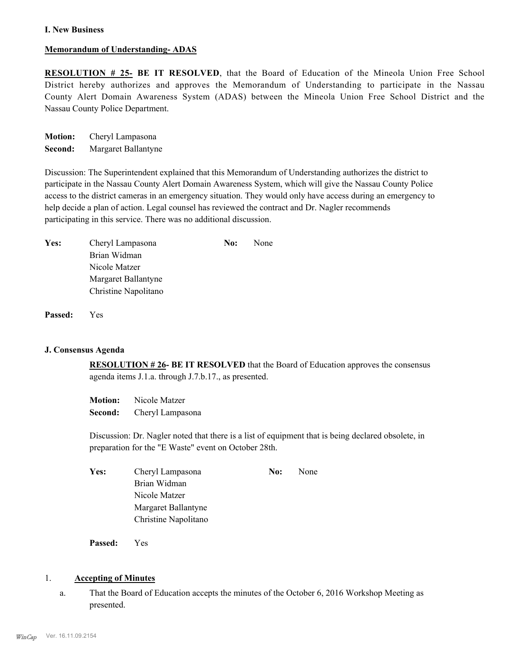#### **I. New Business**

#### **Memorandum of Understanding- ADAS**

**RESOLUTION # 25- BE IT RESOLVED**, that the Board of Education of the Mineola Union Free School District hereby authorizes and approves the Memorandum of Understanding to participate in the Nassau County Alert Domain Awareness System (ADAS) between the Mineola Union Free School District and the Nassau County Police Department.

**Motion:** Cheryl Lampasona **Second:** Margaret Ballantyne

Discussion: The Superintendent explained that this Memorandum of Understanding authorizes the district to participate in the Nassau County Alert Domain Awareness System, which will give the Nassau County Police access to the district cameras in an emergency situation. They would only have access during an emergency to help decide a plan of action. Legal counsel has reviewed the contract and Dr. Nagler recommends participating in this service. There was no additional discussion.

| Yes: | Cheryl Lampasona     | No: | None |
|------|----------------------|-----|------|
|      | Brian Widman         |     |      |
|      | Nicole Matzer        |     |      |
|      | Margaret Ballantyne  |     |      |
|      | Christine Napolitano |     |      |
|      |                      |     |      |

**Passed:** Yes

#### **J. Consensus Agenda**

**RESOLUTION # 26- BE IT RESOLVED** that the Board of Education approves the consensus agenda items J.1.a. through J.7.b.17., as presented.

**Motion:** Nicole Matzer **Second:** Cheryl Lampasona

Discussion: Dr. Nagler noted that there is a list of equipment that is being declared obsolete, in preparation for the "E Waste" event on October 28th.

| Yes: | Cheryl Lampasona     | No: | None |
|------|----------------------|-----|------|
|      | Brian Widman         |     |      |
|      | Nicole Matzer        |     |      |
|      | Margaret Ballantyne  |     |      |
|      | Christine Napolitano |     |      |
|      |                      |     |      |

**Passed:** Yes

#### 1. **Accepting of Minutes**

That the Board of Education accepts the minutes of the October 6, 2016 Workshop Meeting as presented. a.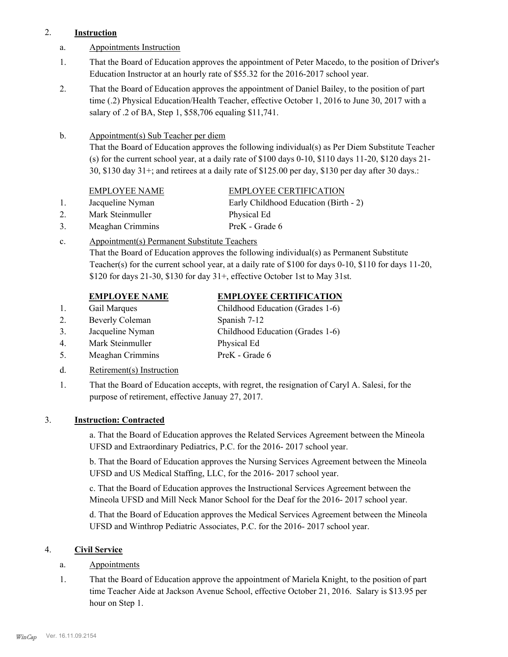## 2. **Instruction**

- a. Appointments Instruction
- That the Board of Education approves the appointment of Peter Macedo, to the position of Driver's Education Instructor at an hourly rate of \$55.32 for the 2016-2017 school year. 1.
- That the Board of Education approves the appointment of Daniel Bailey, to the position of part time (.2) Physical Education/Health Teacher, effective October 1, 2016 to June 30, 2017 with a salary of .2 of BA, Step 1, \$58,706 equaling \$11,741. 2.

#### Appointment(s) Sub Teacher per diem b.

That the Board of Education approves the following individual(s) as Per Diem Substitute Teacher (s) for the current school year, at a daily rate of \$100 days 0-10, \$110 days 11-20, \$120 days 21- 30, \$130 day 31+; and retirees at a daily rate of \$125.00 per day, \$130 per day after 30 days.:

- 
- 2. Mark Steinmuller Physical Ed
- 3. Meaghan Crimmins PreK Grade 6

# EMPLOYEE NAME EMPLOYEE CERTIFICATION

1. Jacqueline Nyman Early Childhood Education (Birth - 2)

Appointment(s) Permanent Substitute Teachers c.

That the Board of Education approves the following individual(s) as Permanent Substitute Teacher(s) for the current school year, at a daily rate of \$100 for days 0-10, \$110 for days 11-20, \$120 for days 21-30, \$130 for day 31+, effective October 1st to May 31st.

# **EMPLOYEE NAME EMPLOYEE CERTIFICATION**

- 1. Gail Marques Childhood Education (Grades 1-6)
- 2. Beverly Coleman Spanish 7-12
- 3. Jacqueline Nyman Childhood Education (Grades 1-6)
- 4. Mark Steinmuller Physical Ed
- 5. Meaghan Crimmins PreK Grade 6
- d. Retirement(s) Instruction
- That the Board of Education accepts, with regret, the resignation of Caryl A. Salesi, for the purpose of retirement, effective Januay 27, 2017. 1.

# 3. **Instruction: Contracted**

a. That the Board of Education approves the Related Services Agreement between the Mineola UFSD and Extraordinary Pediatrics, P.C. for the 2016- 2017 school year.

b. That the Board of Education approves the Nursing Services Agreement between the Mineola UFSD and US Medical Staffing, LLC, for the 2016- 2017 school year.

c. That the Board of Education approves the Instructional Services Agreement between the Mineola UFSD and Mill Neck Manor School for the Deaf for the 2016- 2017 school year.

d. That the Board of Education approves the Medical Services Agreement between the Mineola UFSD and Winthrop Pediatric Associates, P.C. for the 2016- 2017 school year.

# 4. **Civil Service**

- a. Appointments
- That the Board of Education approve the appointment of Mariela Knight, to the position of part time Teacher Aide at Jackson Avenue School, effective October 21, 2016. Salary is \$13.95 per hour on Step 1. 1.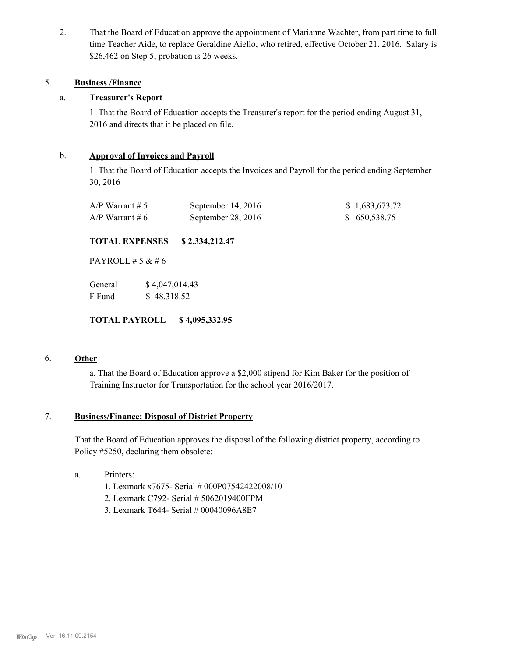That the Board of Education approve the appointment of Marianne Wachter, from part time to full time Teacher Aide, to replace Geraldine Aiello, who retired, effective October 21. 2016. Salary is \$26,462 on Step 5; probation is 26 weeks. 2.

#### 5. **Business /Finance**

## a. **Treasurer's Report**

1. That the Board of Education accepts the Treasurer's report for the period ending August 31, 2016 and directs that it be placed on file.

### b. **Approval of Invoices and Payroll**

1. That the Board of Education accepts the Invoices and Payroll for the period ending September 30, 2016

| $A/P$ Warrant # 5 | September $14, 2016$ | \$1,683,673.72 |
|-------------------|----------------------|----------------|
| $A/P$ Warrant # 6 | September 28, 2016   | \$650,538.75   |

#### **TOTAL EXPENSES \$ 2,334,212.47**

PAYROLL # 5 & # 6

| General | \$4,047,014.43 |
|---------|----------------|
| F Fund  | \$48,318.52    |

**TOTAL PAYROLL \$ 4,095,332.95**

#### 6. **Other**

a. That the Board of Education approve a \$2,000 stipend for Kim Baker for the position of Training Instructor for Transportation for the school year 2016/2017.

#### **Business/Finance: Disposal of District Property** 7.

That the Board of Education approves the disposal of the following district property, according to Policy #5250, declaring them obsolete:

- Printers: a.
	- 1. Lexmark x7675- Serial # 000P07542422008/10
	- 2. Lexmark C792- Serial # 5062019400FPM
	- 3. Lexmark T644- Serial # 00040096A8E7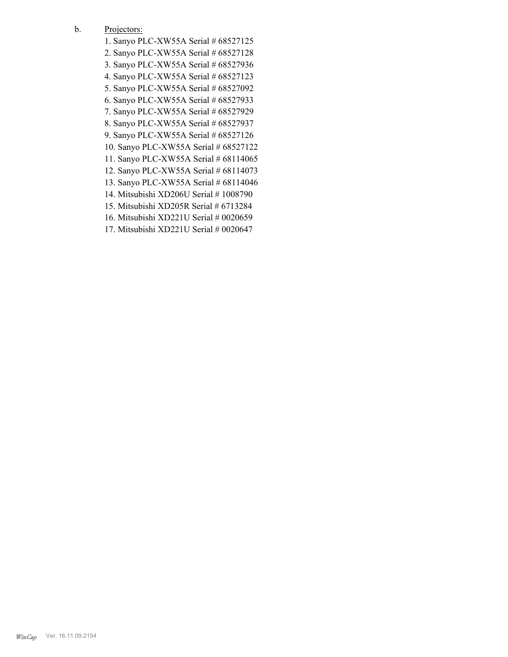- Projectors: b.
	- 1. Sanyo PLC-XW55A Serial # 68527125
	- 2. Sanyo PLC-XW55A Serial # 68527128
	- 3. Sanyo PLC-XW55A Serial # 68527936
	- 4. Sanyo PLC-XW55A Serial # 68527123
	- 5. Sanyo PLC-XW55A Serial # 68527092
	- 6. Sanyo PLC-XW55A Serial # 68527933
	- 7. Sanyo PLC-XW55A Serial # 68527929
	- 8. Sanyo PLC-XW55A Serial # 68527937
	- 9. Sanyo PLC-XW55A Serial # 68527126
	- 10. Sanyo PLC-XW55A Serial # 68527122
	- 11. Sanyo PLC-XW55A Serial # 68114065
	- 12. Sanyo PLC-XW55A Serial # 68114073
	- 13. Sanyo PLC-XW55A Serial # 68114046
	- 14. Mitsubishi XD206U Serial # 1008790
	- 15. Mitsubishi XD205R Serial # 6713284
	- 16. Mitsubishi XD221U Serial # 0020659
	- 17. Mitsubishi XD221U Serial # 0020647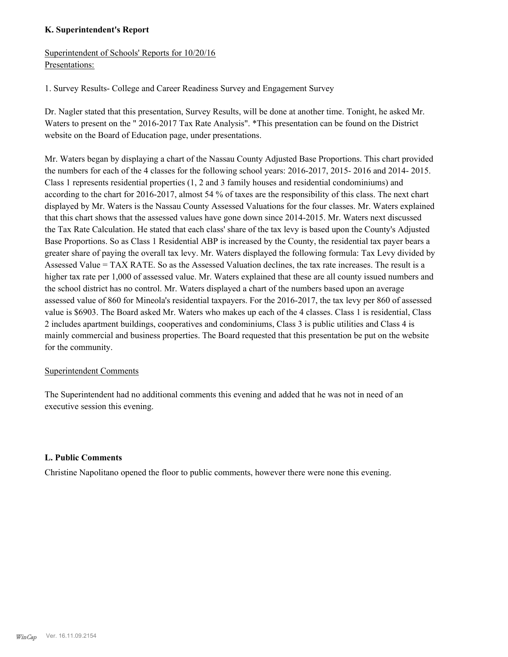## **K. Superintendent's Report**

Superintendent of Schools' Reports for 10/20/16 Presentations:

1. Survey Results- College and Career Readiness Survey and Engagement Survey

Dr. Nagler stated that this presentation, Survey Results, will be done at another time. Tonight, he asked Mr. Waters to present on the " 2016-2017 Tax Rate Analysis". \*This presentation can be found on the District website on the Board of Education page, under presentations.

Mr. Waters began by displaying a chart of the Nassau County Adjusted Base Proportions. This chart provided the numbers for each of the 4 classes for the following school years: 2016-2017, 2015- 2016 and 2014- 2015. Class 1 represents residential properties (1, 2 and 3 family houses and residential condominiums) and according to the chart for 2016-2017, almost 54 % of taxes are the responsibility of this class. The next chart displayed by Mr. Waters is the Nassau County Assessed Valuations for the four classes. Mr. Waters explained that this chart shows that the assessed values have gone down since 2014-2015. Mr. Waters next discussed the Tax Rate Calculation. He stated that each class' share of the tax levy is based upon the County's Adjusted Base Proportions. So as Class 1 Residential ABP is increased by the County, the residential tax payer bears a greater share of paying the overall tax levy. Mr. Waters displayed the following formula: Tax Levy divided by Assessed Value = TAX RATE. So as the Assessed Valuation declines, the tax rate increases. The result is a higher tax rate per 1,000 of assessed value. Mr. Waters explained that these are all county issued numbers and the school district has no control. Mr. Waters displayed a chart of the numbers based upon an average assessed value of 860 for Mineola's residential taxpayers. For the 2016-2017, the tax levy per 860 of assessed value is \$6903. The Board asked Mr. Waters who makes up each of the 4 classes. Class 1 is residential, Class 2 includes apartment buildings, cooperatives and condominiums, Class 3 is public utilities and Class 4 is mainly commercial and business properties. The Board requested that this presentation be put on the website for the community.

### Superintendent Comments

The Superintendent had no additional comments this evening and added that he was not in need of an executive session this evening.

### **L. Public Comments**

Christine Napolitano opened the floor to public comments, however there were none this evening.